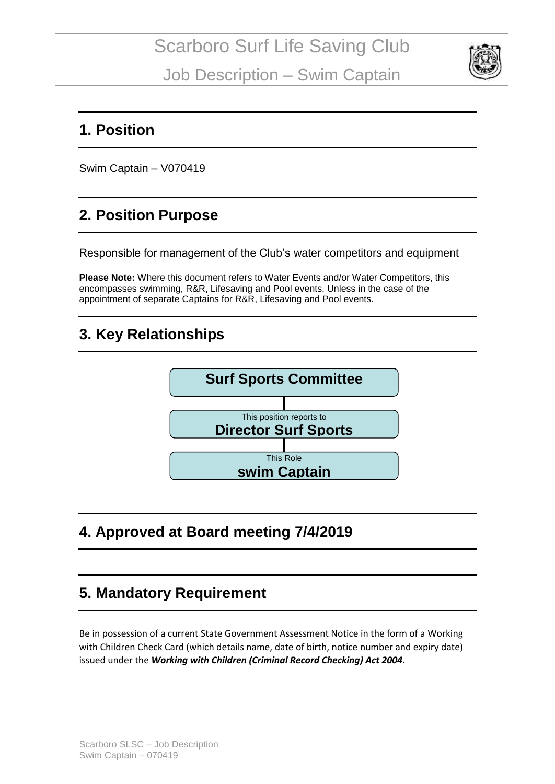

#### **1. Position**

Swim Captain – V070419

# **2. Position Purpose**

Responsible for management of the Club's water competitors and equipment

**Please Note:** Where this document refers to Water Events and/or Water Competitors, this encompasses swimming, R&R, Lifesaving and Pool events. Unless in the case of the appointment of separate Captains for R&R, Lifesaving and Pool events.

### **3. Key Relationships**



# **4. Approved at Board meeting 7/4/2019**

### **5. Mandatory Requirement**

Be in possession of a current State Government Assessment Notice in the form of a Working with Children Check Card (which details name, date of birth, notice number and expiry date) issued under the *Working with Children (Criminal Record Checking) Act 2004*.